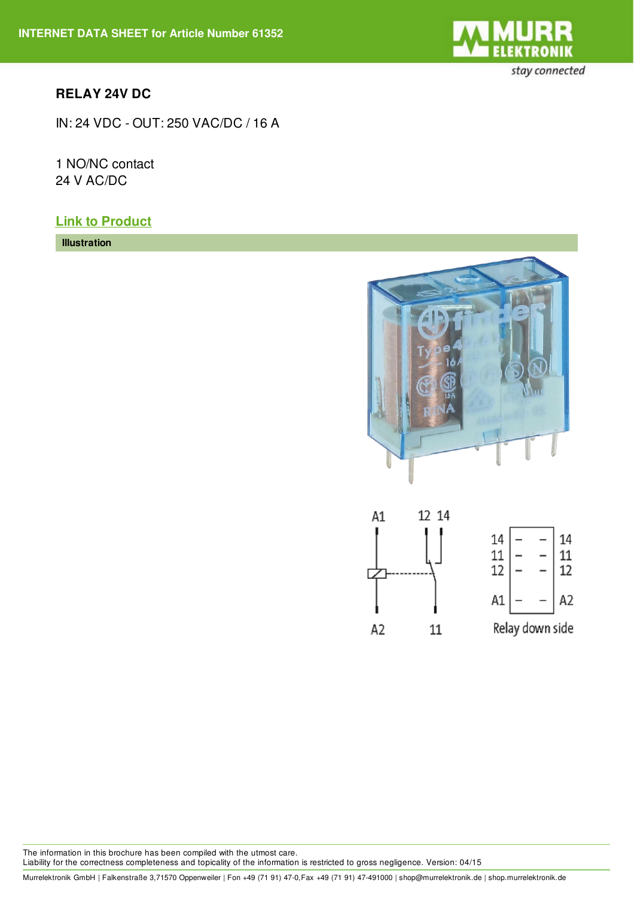

## **RELAY 24V DC**

IN: 24 VDC - OUT: 250 VAC/DC / 16 A

1 NO/NC contact 24 V AC/DC

## **Link to [Product](http://shop.murrelektronik.de/61352?lang=1)**

**Illustration**





Murrelektronik GmbH | Falkenstraße 3,71570 Oppenweiler | Fon +49 (71 91) 47-0,Fax +49 (71 91) 47-491000 | shop@murrelektronik.de | shop.murrelektronik.de